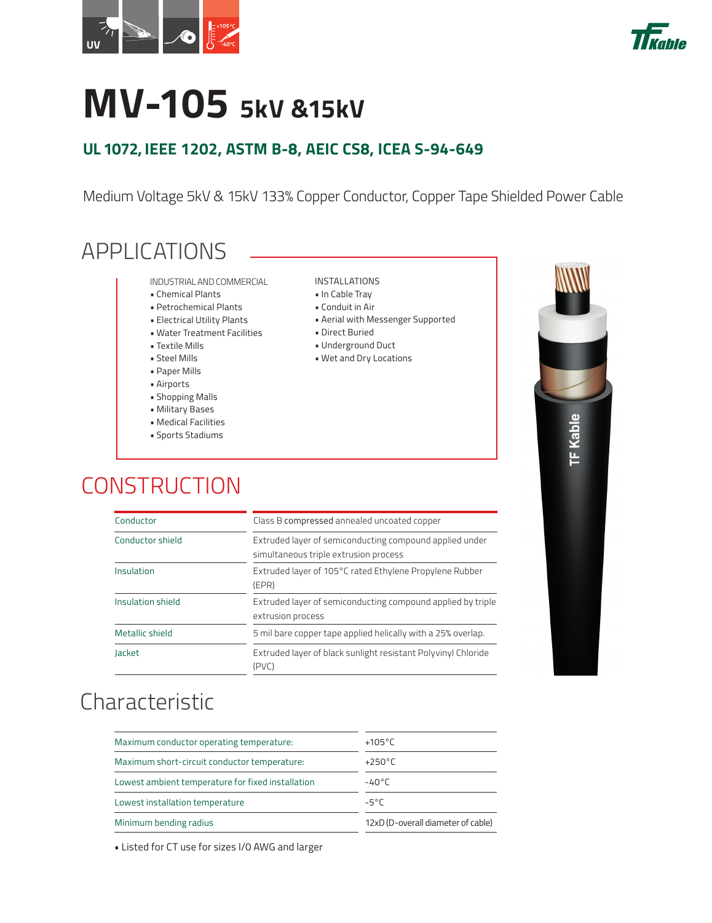



# **MV-105 5kV &15kV**

#### **UL 1072, IEEE 1202, ASTM B-8, AEIC CS8, ICEA S-94-649**

Medium Voltage 5kV & 15kV 133% Copper Conductor, Copper Tape Shielded Power Cable

#### APPLICATIONS

- INDUSTRIAL AND COMMERCIAL
- Chemical Plants
- Petrochemical Plants
- Electrical Utility Plants
- Water Treatment Facilities
- Textile Mills
- Steel Mills
- Paper Mills
- Airports
- Shopping Malls
- Military Bases
- Medical Facilities
- Sports Stadiums

#### INSTALLATIONS

- In Cable Tray
- Conduit in Air
- Aerial with Messenger Supported
- Direct Buried
- Underground Duct
- Wet and Dry Locations





# **CONSTRUCTION**

| Characteristic |  |
|----------------|--|
|                |  |
|                |  |
|                |  |
|                |  |

| $+250^{\circ}$ C                   |  |  |  |  |
|------------------------------------|--|--|--|--|
| $-40^{\circ}$ C                    |  |  |  |  |
| -5°C                               |  |  |  |  |
| 12xD (D-overall diameter of cable) |  |  |  |  |
|                                    |  |  |  |  |

Insulation shield Extruded layer of semiconducting compound applied by triple extrusion process Metallic shield 5 mil bare copper tape applied helically with a 25% overlap. Jacket Extruded layer of black sunlight resistant Polyvinyl Chloride

(PVC)

• Listed for CT use for sizes I/0 AWG and larger